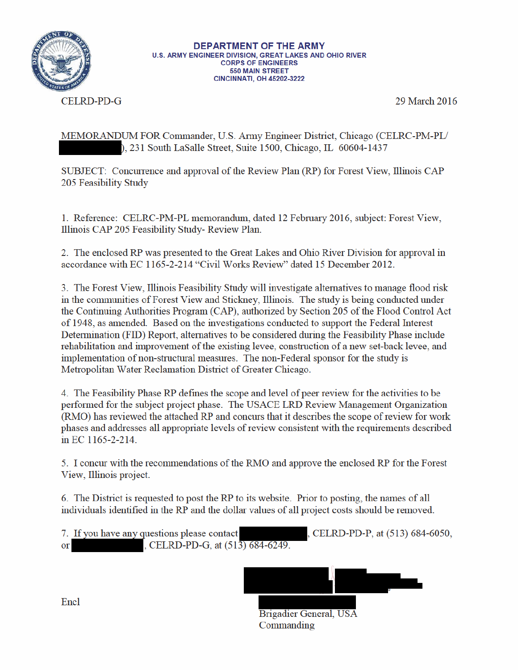

CELRD-PD-G

29 March 2016

MEMORANDUM FOR Commander, U.S. Army Engineer District, Chicago (CELRC-PM-PL/ ), 231 South LaSalle Street, Suite 1500, Chicago, IL 60604-1437

SUBJECT: Concurrence and approval of the Review Plan (RP) for Forest View, Illinois CAP 205 Feasibility Study

1. Reference: CELRC-PM-PL memorandum, dated 12 February 2016, subject: Forest View, Illinois CAP 205 Feasibility Study-Review Plan.

2. The enclosed RP was presented to the Great Lakes and Ohio River Division for approval in accordance with EC 1165-2-214 "Civil Works Review" dated 15 December 2012.

3. The Forest View, Illinois Feasibility Study will investigate alternatives to manage flood risk in the communities of Forest View and Stickney, Illinois. The study is being conducted under the Continuing Authorities Program (CAP), authorized by Section 205 of the Flood Control Act of 1948, as amended. Based on the investigations conducted to support the Federal Interest Determination (FID) Report, alternatives to be considered during the Feasibility Phase include rehabilitation and improvement of the existing levee, construction of a new set-back levee, and implementation of non-structural measures. The non-Federal sponsor for the study is Metropolitan Water Reclamation District of Greater Chicago.

4. The Feasibility Phase RP defines the scope and level of peer review for the activities to be performed for the subject project phase. The USACE LRD Review Management Organization (RMO) has reviewed the attached RP and concurs that it describes the scope of review for work phases and addresses all appropriate levels of review consistent with the requirements described in EC 1165-2-214.

5. I concur with the recommendations of the RMO and approve the enclosed RP for the Forest View, Illinois project.

6. The District is requested to post the RP to its website. Prior to posting, the names of all individuals identified in the RP and the dollar values of all project costs should be removed.

7. If you have any questions please contact , CELRD-PD-G, at (513) 684-6249.  $or$ 

, CELRD-PD-P, at (513) 684-6050,



Brigadier General, USA Commanding

Encl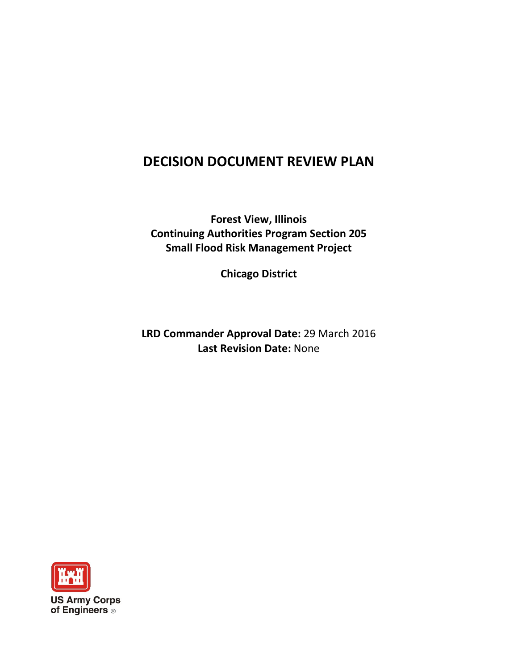# **DECISION DOCUMENT REVIEW PLAN**

**Forest View, Illinois Continuing Authorities Program Section 205 Small Flood Risk Management Project**

**Chicago District**

**LRD Commander Approval Date:** 29 March 2016 **Last Revision Date:** None

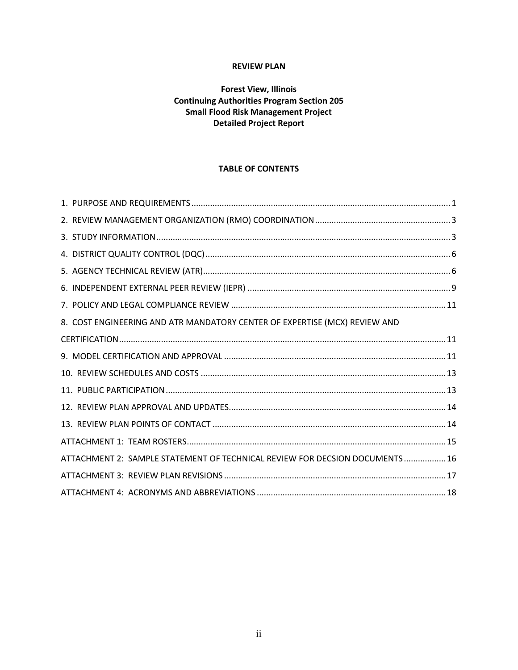# **REVIEW PLAN**

# **Forest View, Illinois Continuing Authorities Program Section 205 Small Flood Risk Management Project Detailed Project Report**

# **TABLE OF CONTENTS**

| 8. COST ENGINEERING AND ATR MANDATORY CENTER OF EXPERTISE (MCX) REVIEW AND  |  |
|-----------------------------------------------------------------------------|--|
|                                                                             |  |
|                                                                             |  |
|                                                                             |  |
|                                                                             |  |
|                                                                             |  |
|                                                                             |  |
|                                                                             |  |
| ATTACHMENT 2: SAMPLE STATEMENT OF TECHNICAL REVIEW FOR DECSION DOCUMENTS 16 |  |
|                                                                             |  |
|                                                                             |  |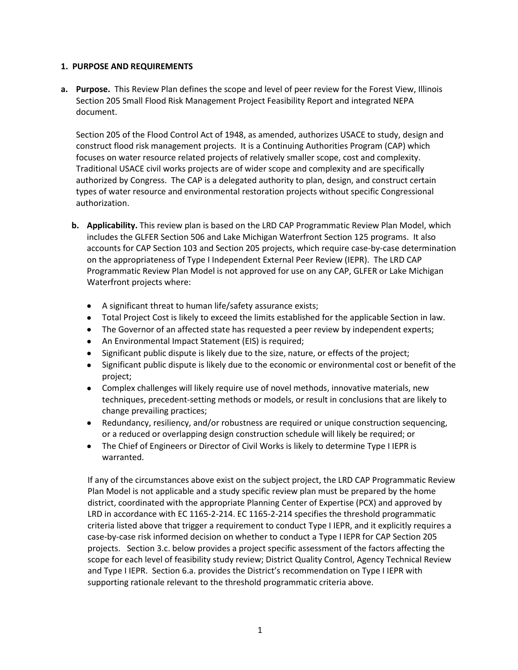#### **1. PURPOSE AND REQUIREMENTS**

**a. Purpose.** This Review Plan defines the scope and level of peer review for the Forest View, Illinois Section 205 Small Flood Risk Management Project Feasibility Report and integrated NEPA document.

Section 205 of the Flood Control Act of 1948, as amended, authorizes USACE to study, design and construct flood risk management projects. It is a Continuing Authorities Program (CAP) which focuses on water resource related projects of relatively smaller scope, cost and complexity. Traditional USACE civil works projects are of wider scope and complexity and are specifically authorized by Congress. The CAP is a delegated authority to plan, design, and construct certain types of water resource and environmental restoration projects without specific Congressional authorization.

- **b. Applicability.** This review plan is based on the LRD CAP Programmatic Review Plan Model, which includes the GLFER Section 506 and Lake Michigan Waterfront Section 125 programs. It also accounts for CAP Section 103 and Section 205 projects, which require case-by-case determination on the appropriateness of Type I Independent External Peer Review (IEPR). The LRD CAP Programmatic Review Plan Model is not approved for use on any CAP, GLFER or Lake Michigan Waterfront projects where:
	- A significant threat to human life/safety assurance exists;
	- Total Project Cost is likely to exceed the limits established for the applicable Section in law.
	- The Governor of an affected state has requested a peer review by independent experts;
	- An Environmental Impact Statement (EIS) is required;
	- Significant public dispute is likely due to the size, nature, or effects of the project;
	- Significant public dispute is likely due to the economic or environmental cost or benefit of the project;
	- Complex challenges will likely require use of novel methods, innovative materials, new techniques, precedent-setting methods or models, or result in conclusions that are likely to change prevailing practices;
	- Redundancy, resiliency, and/or robustness are required or unique construction sequencing, or a reduced or overlapping design construction schedule will likely be required; or
	- The Chief of Engineers or Director of Civil Works is likely to determine Type I IEPR is warranted.

If any of the circumstances above exist on the subject project, the LRD CAP Programmatic Review Plan Model is not applicable and a study specific review plan must be prepared by the home district, coordinated with the appropriate Planning Center of Expertise (PCX) and approved by LRD in accordance with EC 1165-2-214. EC 1165-2-214 specifies the threshold programmatic criteria listed above that trigger a requirement to conduct Type I IEPR, and it explicitly requires a case-by-case risk informed decision on whether to conduct a Type I IEPR for CAP Section 205 projects. Section 3.c. below provides a project specific assessment of the factors affecting the scope for each level of feasibility study review; District Quality Control, Agency Technical Review and Type I IEPR. Section 6.a. provides the District's recommendation on Type I IEPR with supporting rationale relevant to the threshold programmatic criteria above.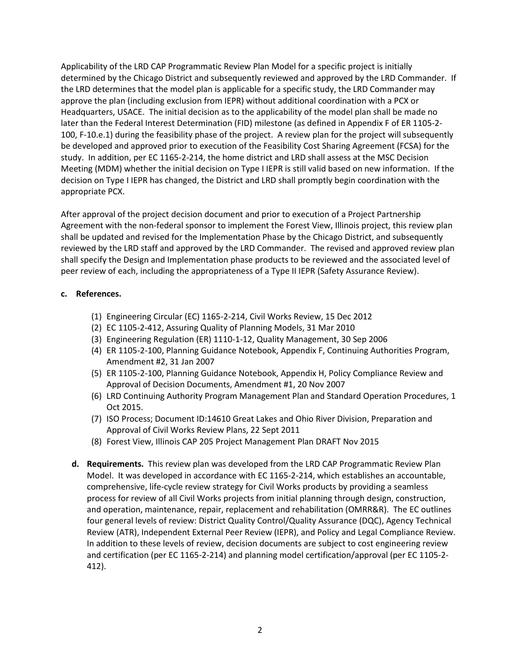Applicability of the LRD CAP Programmatic Review Plan Model for a specific project is initially determined by the Chicago District and subsequently reviewed and approved by the LRD Commander. If the LRD determines that the model plan is applicable for a specific study, the LRD Commander may approve the plan (including exclusion from IEPR) without additional coordination with a PCX or Headquarters, USACE. The initial decision as to the applicability of the model plan shall be made no later than the Federal Interest Determination (FID) milestone (as defined in Appendix F of ER 1105-2- 100, F-10.e.1) during the feasibility phase of the project. A review plan for the project will subsequently be developed and approved prior to execution of the Feasibility Cost Sharing Agreement (FCSA) for the study. In addition, per EC 1165-2-214, the home district and LRD shall assess at the MSC Decision Meeting (MDM) whether the initial decision on Type I IEPR is still valid based on new information. If the decision on Type I IEPR has changed, the District and LRD shall promptly begin coordination with the appropriate PCX.

After approval of the project decision document and prior to execution of a Project Partnership Agreement with the non-federal sponsor to implement the Forest View, Illinois project, this review plan shall be updated and revised for the Implementation Phase by the Chicago District, and subsequently reviewed by the LRD staff and approved by the LRD Commander. The revised and approved review plan shall specify the Design and Implementation phase products to be reviewed and the associated level of peer review of each, including the appropriateness of a Type II IEPR (Safety Assurance Review).

## **c. References.**

- (1) Engineering Circular (EC) 1165-2-214, Civil Works Review, 15 Dec 2012
- (2) EC 1105-2-412, Assuring Quality of Planning Models, 31 Mar 2010
- (3) Engineering Regulation (ER) 1110-1-12, Quality Management, 30 Sep 2006
- (4) ER 1105-2-100, Planning Guidance Notebook, Appendix F, Continuing Authorities Program, Amendment #2, 31 Jan 2007
- (5) ER 1105-2-100, Planning Guidance Notebook, Appendix H, Policy Compliance Review and Approval of Decision Documents, Amendment #1, 20 Nov 2007
- (6) LRD Continuing Authority Program Management Plan and Standard Operation Procedures, 1 Oct 2015.
- (7) ISO Process; Document ID:14610 Great Lakes and Ohio River Division, Preparation and Approval of Civil Works Review Plans, 22 Sept 2011
- (8) Forest View, Illinois CAP 205 Project Management Plan DRAFT Nov 2015
- **d. Requirements.** This review plan was developed from the LRD CAP Programmatic Review Plan Model. It was developed in accordance with EC 1165-2-214, which establishes an accountable, comprehensive, life-cycle review strategy for Civil Works products by providing a seamless process for review of all Civil Works projects from initial planning through design, construction, and operation, maintenance, repair, replacement and rehabilitation (OMRR&R). The EC outlines four general levels of review: District Quality Control/Quality Assurance (DQC), Agency Technical Review (ATR), Independent External Peer Review (IEPR), and Policy and Legal Compliance Review. In addition to these levels of review, decision documents are subject to cost engineering review and certification (per EC 1165-2-214) and planning model certification/approval (per EC 1105-2- 412).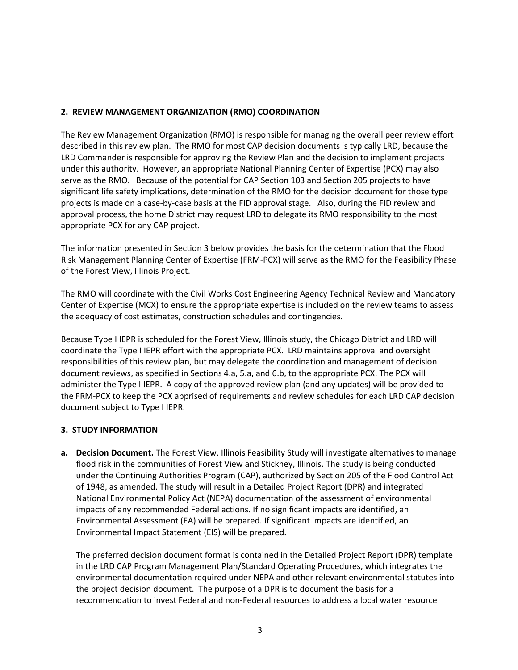# **2. REVIEW MANAGEMENT ORGANIZATION (RMO) COORDINATION**

The Review Management Organization (RMO) is responsible for managing the overall peer review effort described in this review plan. The RMO for most CAP decision documents is typically LRD, because the LRD Commander is responsible for approving the Review Plan and the decision to implement projects under this authority. However, an appropriate National Planning Center of Expertise (PCX) may also serve as the RMO. Because of the potential for CAP Section 103 and Section 205 projects to have significant life safety implications, determination of the RMO for the decision document for those type projects is made on a case-by-case basis at the FID approval stage. Also, during the FID review and approval process, the home District may request LRD to delegate its RMO responsibility to the most appropriate PCX for any CAP project.

The information presented in Section 3 below provides the basis for the determination that the Flood Risk Management Planning Center of Expertise (FRM-PCX) will serve as the RMO for the Feasibility Phase of the Forest View, Illinois Project.

The RMO will coordinate with the Civil Works Cost Engineering Agency Technical Review and Mandatory Center of Expertise (MCX) to ensure the appropriate expertise is included on the review teams to assess the adequacy of cost estimates, construction schedules and contingencies.

Because Type I IEPR is scheduled for the Forest View, Illinois study, the Chicago District and LRD will coordinate the Type I IEPR effort with the appropriate PCX. LRD maintains approval and oversight responsibilities of this review plan, but may delegate the coordination and management of decision document reviews, as specified in Sections 4.a, 5.a, and 6.b, to the appropriate PCX. The PCX will administer the Type I IEPR. A copy of the approved review plan (and any updates) will be provided to the FRM-PCX to keep the PCX apprised of requirements and review schedules for each LRD CAP decision document subject to Type I IEPR.

#### **3. STUDY INFORMATION**

**a. Decision Document.** The Forest View, Illinois Feasibility Study will investigate alternatives to manage flood risk in the communities of Forest View and Stickney, Illinois. The study is being conducted under the Continuing Authorities Program (CAP), authorized by Section 205 of the Flood Control Act of 1948, as amended. The study will result in a Detailed Project Report (DPR) and integrated National Environmental Policy Act (NEPA) documentation of the assessment of environmental impacts of any recommended Federal actions. If no significant impacts are identified, an Environmental Assessment (EA) will be prepared. If significant impacts are identified, an Environmental Impact Statement (EIS) will be prepared.

The preferred decision document format is contained in the Detailed Project Report (DPR) template in the LRD CAP Program Management Plan/Standard Operating Procedures, which integrates the environmental documentation required under NEPA and other relevant environmental statutes into the project decision document. The purpose of a DPR is to document the basis for a recommendation to invest Federal and non-Federal resources to address a local water resource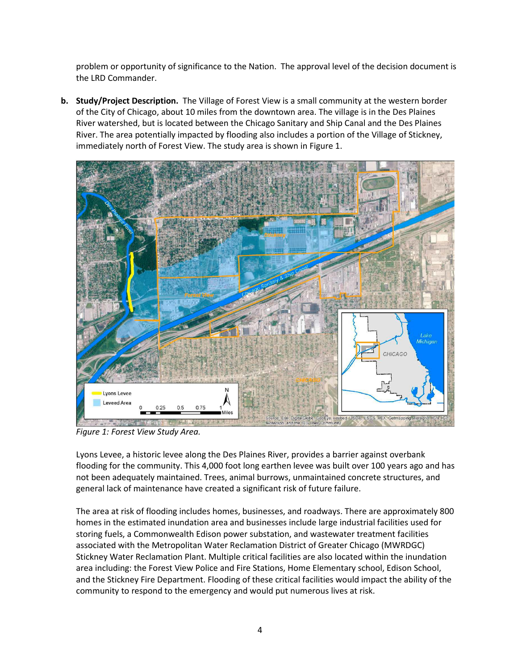problem or opportunity of significance to the Nation. The approval level of the decision document is the LRD Commander.

**b. Study/Project Description.** The Village of Forest View is a small community at the western border of the City of Chicago, about 10 miles from the downtown area. The village is in the Des Plaines River watershed, but is located between the Chicago Sanitary and Ship Canal and the Des Plaines River. The area potentially impacted by flooding also includes a portion of the Village of Stickney, immediately north of Forest View. The study area is shown in Figure 1.



*Figure 1: Forest View Study Area.*

Lyons Levee, a historic levee along the Des Plaines River, provides a barrier against overbank flooding for the community. This 4,000 foot long earthen levee was built over 100 years ago and has not been adequately maintained. Trees, animal burrows, unmaintained concrete structures, and general lack of maintenance have created a significant risk of future failure.

The area at risk of flooding includes homes, businesses, and roadways. There are approximately 800 homes in the estimated inundation area and businesses include large industrial facilities used for storing fuels, a Commonwealth Edison power substation, and wastewater treatment facilities associated with the Metropolitan Water Reclamation District of Greater Chicago (MWRDGC) Stickney Water Reclamation Plant. Multiple critical facilities are also located within the inundation area including: the Forest View Police and Fire Stations, Home Elementary school, Edison School, and the Stickney Fire Department. Flooding of these critical facilities would impact the ability of the community to respond to the emergency and would put numerous lives at risk.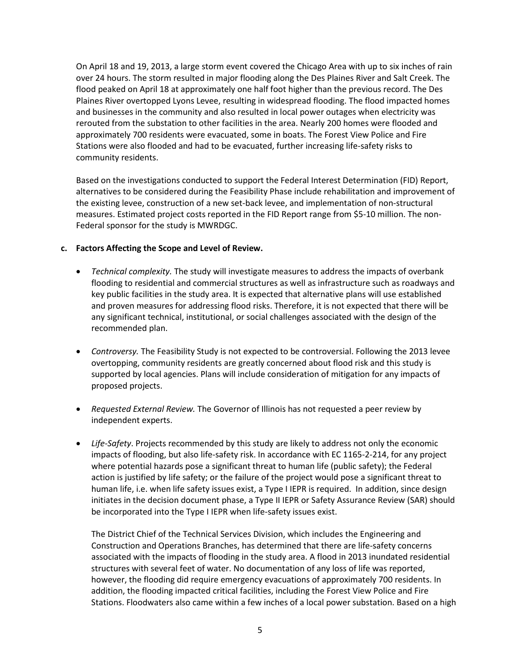On April 18 and 19, 2013, a large storm event covered the Chicago Area with up to six inches of rain over 24 hours. The storm resulted in major flooding along the Des Plaines River and Salt Creek. The flood peaked on April 18 at approximately one half foot higher than the previous record. The Des Plaines River overtopped Lyons Levee, resulting in widespread flooding. The flood impacted homes and businesses in the community and also resulted in local power outages when electricity was rerouted from the substation to other facilities in the area. Nearly 200 homes were flooded and approximately 700 residents were evacuated, some in boats. The Forest View Police and Fire Stations were also flooded and had to be evacuated, further increasing life-safety risks to community residents.

Based on the investigations conducted to support the Federal Interest Determination (FID) Report, alternatives to be considered during the Feasibility Phase include rehabilitation and improvement of the existing levee, construction of a new set-back levee, and implementation of non-structural measures. Estimated project costs reported in the FID Report range from \$5-10 million. The non-Federal sponsor for the study is MWRDGC.

#### **c. Factors Affecting the Scope and Level of Review.**

- *Technical complexity.* The study will investigate measures to address the impacts of overbank flooding to residential and commercial structures as well as infrastructure such as roadways and key public facilities in the study area. It is expected that alternative plans will use established and proven measures for addressing flood risks. Therefore, it is not expected that there will be any significant technical, institutional, or social challenges associated with the design of the recommended plan.
- *Controversy.* The Feasibility Study is not expected to be controversial. Following the 2013 levee overtopping, community residents are greatly concerned about flood risk and this study is supported by local agencies. Plans will include consideration of mitigation for any impacts of proposed projects.
- *Requested External Review.* The Governor of Illinois has not requested a peer review by independent experts.
- *Life-Safety*. Projects recommended by this study are likely to address not only the economic impacts of flooding, but also life-safety risk. In accordance with EC 1165-2-214, for any project where potential hazards pose a significant threat to human life (public safety); the Federal action is justified by life safety; or the failure of the project would pose a significant threat to human life, i.e. when life safety issues exist, a Type I IEPR is required. In addition, since design initiates in the decision document phase, a Type II IEPR or Safety Assurance Review (SAR) should be incorporated into the Type I IEPR when life-safety issues exist.

The District Chief of the Technical Services Division, which includes the Engineering and Construction and Operations Branches, has determined that there are life-safety concerns associated with the impacts of flooding in the study area. A flood in 2013 inundated residential structures with several feet of water. No documentation of any loss of life was reported, however, the flooding did require emergency evacuations of approximately 700 residents. In addition, the flooding impacted critical facilities, including the Forest View Police and Fire Stations. Floodwaters also came within a few inches of a local power substation. Based on a high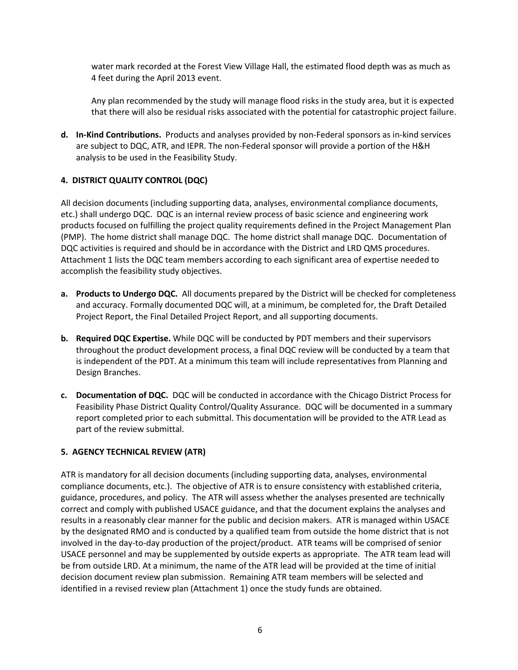water mark recorded at the Forest View Village Hall, the estimated flood depth was as much as 4 feet during the April 2013 event.

Any plan recommended by the study will manage flood risks in the study area, but it is expected that there will also be residual risks associated with the potential for catastrophic project failure.

**d. In-Kind Contributions.** Products and analyses provided by non-Federal sponsors as in-kind services are subject to DQC, ATR, and IEPR. The non-Federal sponsor will provide a portion of the H&H analysis to be used in the Feasibility Study.

## **4. DISTRICT QUALITY CONTROL (DQC)**

All decision documents (including supporting data, analyses, environmental compliance documents, etc.) shall undergo DQC. DQC is an internal review process of basic science and engineering work products focused on fulfilling the project quality requirements defined in the Project Management Plan (PMP). The home district shall manage DQC. The home district shall manage DQC. Documentation of DQC activities is required and should be in accordance with the District and LRD QMS procedures. Attachment 1 lists the DQC team members according to each significant area of expertise needed to accomplish the feasibility study objectives.

- **a. Products to Undergo DQC.** All documents prepared by the District will be checked for completeness and accuracy. Formally documented DQC will, at a minimum, be completed for, the Draft Detailed Project Report, the Final Detailed Project Report, and all supporting documents.
- **b. Required DQC Expertise.** While DQC will be conducted by PDT members and their supervisors throughout the product development process, a final DQC review will be conducted by a team that is independent of the PDT. At a minimum this team will include representatives from Planning and Design Branches.
- **c. Documentation of DQC.** DQC will be conducted in accordance with the Chicago District Process for Feasibility Phase District Quality Control/Quality Assurance. DQC will be documented in a summary report completed prior to each submittal. This documentation will be provided to the ATR Lead as part of the review submittal.

# **5. AGENCY TECHNICAL REVIEW (ATR)**

ATR is mandatory for all decision documents (including supporting data, analyses, environmental compliance documents, etc.). The objective of ATR is to ensure consistency with established criteria, guidance, procedures, and policy. The ATR will assess whether the analyses presented are technically correct and comply with published USACE guidance, and that the document explains the analyses and results in a reasonably clear manner for the public and decision makers. ATR is managed within USACE by the designated RMO and is conducted by a qualified team from outside the home district that is not involved in the day-to-day production of the project/product. ATR teams will be comprised of senior USACE personnel and may be supplemented by outside experts as appropriate. The ATR team lead will be from outside LRD. At a minimum, the name of the ATR lead will be provided at the time of initial decision document review plan submission. Remaining ATR team members will be selected and identified in a revised review plan (Attachment 1) once the study funds are obtained.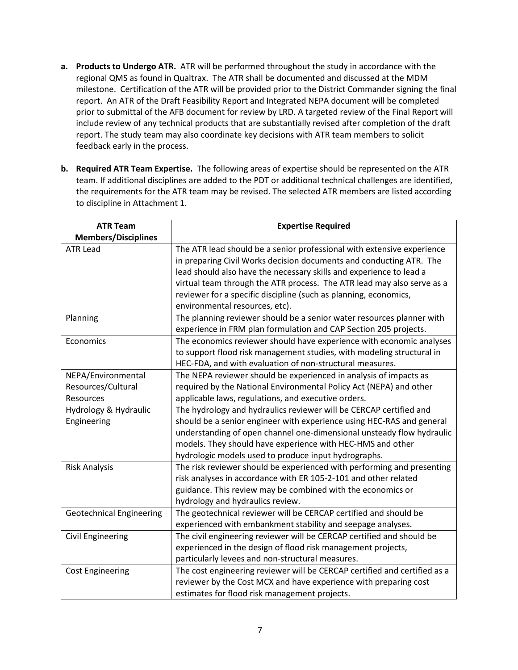- **a. Products to Undergo ATR.** ATR will be performed throughout the study in accordance with the regional QMS as found in Qualtrax. The ATR shall be documented and discussed at the MDM milestone. Certification of the ATR will be provided prior to the District Commander signing the final report. An ATR of the Draft Feasibility Report and Integrated NEPA document will be completed prior to submittal of the AFB document for review by LRD. A targeted review of the Final Report will include review of any technical products that are substantially revised after completion of the draft report. The study team may also coordinate key decisions with ATR team members to solicit feedback early in the process.
- **b. Required ATR Team Expertise.** The following areas of expertise should be represented on the ATR team. If additional disciplines are added to the PDT or additional technical challenges are identified, the requirements for the ATR team may be revised. The selected ATR members are listed according to discipline in Attachment 1.

| <b>ATR Team</b>                 | <b>Expertise Required</b>                                                 |  |  |
|---------------------------------|---------------------------------------------------------------------------|--|--|
| <b>Members/Disciplines</b>      |                                                                           |  |  |
| <b>ATR Lead</b>                 | The ATR lead should be a senior professional with extensive experience    |  |  |
|                                 | in preparing Civil Works decision documents and conducting ATR. The       |  |  |
|                                 | lead should also have the necessary skills and experience to lead a       |  |  |
|                                 | virtual team through the ATR process. The ATR lead may also serve as a    |  |  |
|                                 | reviewer for a specific discipline (such as planning, economics,          |  |  |
|                                 | environmental resources, etc).                                            |  |  |
| Planning                        | The planning reviewer should be a senior water resources planner with     |  |  |
|                                 | experience in FRM plan formulation and CAP Section 205 projects.          |  |  |
| Economics                       | The economics reviewer should have experience with economic analyses      |  |  |
|                                 | to support flood risk management studies, with modeling structural in     |  |  |
|                                 | HEC-FDA, and with evaluation of non-structural measures.                  |  |  |
| NEPA/Environmental              | The NEPA reviewer should be experienced in analysis of impacts as         |  |  |
| Resources/Cultural              | required by the National Environmental Policy Act (NEPA) and other        |  |  |
| Resources                       | applicable laws, regulations, and executive orders.                       |  |  |
| Hydrology & Hydraulic           | The hydrology and hydraulics reviewer will be CERCAP certified and        |  |  |
| Engineering                     | should be a senior engineer with experience using HEC-RAS and general     |  |  |
|                                 | understanding of open channel one-dimensional unsteady flow hydraulic     |  |  |
|                                 | models. They should have experience with HEC-HMS and other                |  |  |
|                                 | hydrologic models used to produce input hydrographs.                      |  |  |
| <b>Risk Analysis</b>            | The risk reviewer should be experienced with performing and presenting    |  |  |
|                                 | risk analyses in accordance with ER 105-2-101 and other related           |  |  |
|                                 | guidance. This review may be combined with the economics or               |  |  |
|                                 | hydrology and hydraulics review.                                          |  |  |
| <b>Geotechnical Engineering</b> | The geotechnical reviewer will be CERCAP certified and should be          |  |  |
|                                 | experienced with embankment stability and seepage analyses.               |  |  |
| <b>Civil Engineering</b>        | The civil engineering reviewer will be CERCAP certified and should be     |  |  |
|                                 | experienced in the design of flood risk management projects,              |  |  |
|                                 | particularly levees and non-structural measures.                          |  |  |
| <b>Cost Engineering</b>         | The cost engineering reviewer will be CERCAP certified and certified as a |  |  |
|                                 | reviewer by the Cost MCX and have experience with preparing cost          |  |  |
|                                 | estimates for flood risk management projects.                             |  |  |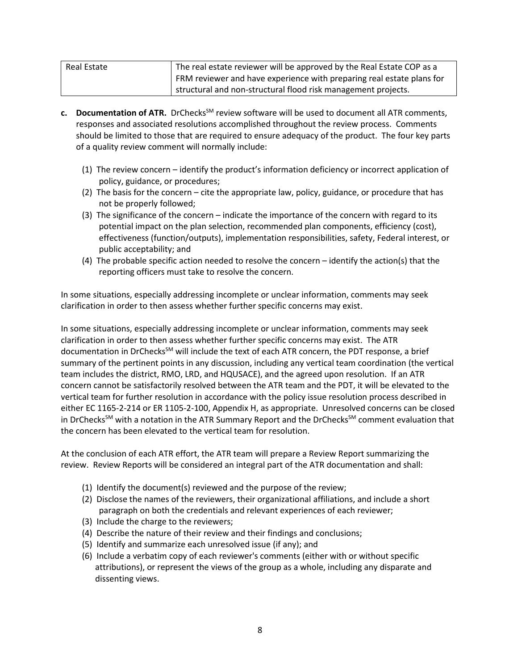| Real Estate | The real estate reviewer will be approved by the Real Estate COP as a |
|-------------|-----------------------------------------------------------------------|
|             | FRM reviewer and have experience with preparing real estate plans for |
|             | structural and non-structural flood risk management projects.         |

- **c.** Documentation of ATR. DrChecks<sup>SM</sup> review software will be used to document all ATR comments, responses and associated resolutions accomplished throughout the review process. Comments should be limited to those that are required to ensure adequacy of the product. The four key parts of a quality review comment will normally include:
	- (1) The review concern identify the product's information deficiency or incorrect application of policy, guidance, or procedures;
	- (2) The basis for the concern cite the appropriate law, policy, guidance, or procedure that has not be properly followed;
	- (3) The significance of the concern indicate the importance of the concern with regard to its potential impact on the plan selection, recommended plan components, efficiency (cost), effectiveness (function/outputs), implementation responsibilities, safety, Federal interest, or public acceptability; and
	- (4) The probable specific action needed to resolve the concern identify the action(s) that the reporting officers must take to resolve the concern.

In some situations, especially addressing incomplete or unclear information, comments may seek clarification in order to then assess whether further specific concerns may exist.

In some situations, especially addressing incomplete or unclear information, comments may seek clarification in order to then assess whether further specific concerns may exist. The ATR documentation in DrChecksSM will include the text of each ATR concern, the PDT response, a brief summary of the pertinent points in any discussion, including any vertical team coordination (the vertical team includes the district, RMO, LRD, and HQUSACE), and the agreed upon resolution. If an ATR concern cannot be satisfactorily resolved between the ATR team and the PDT, it will be elevated to the vertical team for further resolution in accordance with the policy issue resolution process described in either EC 1165-2-214 or ER 1105-2-100, Appendix H, as appropriate. Unresolved concerns can be closed in DrChecks<sup>SM</sup> with a notation in the ATR Summary Report and the DrChecks<sup>SM</sup> comment evaluation that the concern has been elevated to the vertical team for resolution.

At the conclusion of each ATR effort, the ATR team will prepare a Review Report summarizing the review. Review Reports will be considered an integral part of the ATR documentation and shall:

- (1) Identify the document(s) reviewed and the purpose of the review;
- (2) Disclose the names of the reviewers, their organizational affiliations, and include a short paragraph on both the credentials and relevant experiences of each reviewer;
- (3) Include the charge to the reviewers;
- (4) Describe the nature of their review and their findings and conclusions;
- (5) Identify and summarize each unresolved issue (if any); and
- (6) Include a verbatim copy of each reviewer's comments (either with or without specific attributions), or represent the views of the group as a whole, including any disparate and dissenting views.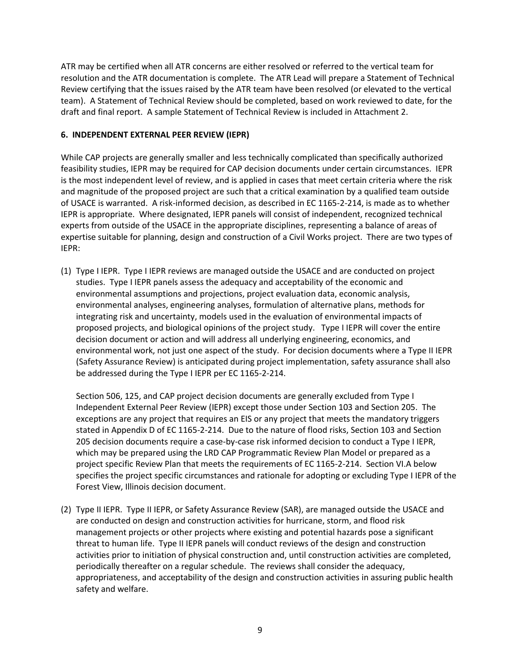ATR may be certified when all ATR concerns are either resolved or referred to the vertical team for resolution and the ATR documentation is complete. The ATR Lead will prepare a Statement of Technical Review certifying that the issues raised by the ATR team have been resolved (or elevated to the vertical team). A Statement of Technical Review should be completed, based on work reviewed to date, for the draft and final report. A sample Statement of Technical Review is included in Attachment 2.

## **6. INDEPENDENT EXTERNAL PEER REVIEW (IEPR)**

While CAP projects are generally smaller and less technically complicated than specifically authorized feasibility studies, IEPR may be required for CAP decision documents under certain circumstances. IEPR is the most independent level of review, and is applied in cases that meet certain criteria where the risk and magnitude of the proposed project are such that a critical examination by a qualified team outside of USACE is warranted. A risk-informed decision, as described in EC 1165-2-214, is made as to whether IEPR is appropriate. Where designated, IEPR panels will consist of independent, recognized technical experts from outside of the USACE in the appropriate disciplines, representing a balance of areas of expertise suitable for planning, design and construction of a Civil Works project. There are two types of IEPR:

(1) Type I IEPR. Type I IEPR reviews are managed outside the USACE and are conducted on project studies. Type I IEPR panels assess the adequacy and acceptability of the economic and environmental assumptions and projections, project evaluation data, economic analysis, environmental analyses, engineering analyses, formulation of alternative plans, methods for integrating risk and uncertainty, models used in the evaluation of environmental impacts of proposed projects, and biological opinions of the project study. Type I IEPR will cover the entire decision document or action and will address all underlying engineering, economics, and environmental work, not just one aspect of the study. For decision documents where a Type II IEPR (Safety Assurance Review) is anticipated during project implementation, safety assurance shall also be addressed during the Type I IEPR per EC 1165-2-214.

Section 506, 125, and CAP project decision documents are generally excluded from Type I Independent External Peer Review (IEPR) except those under Section 103 and Section 205. The exceptions are any project that requires an EIS or any project that meets the mandatory triggers stated in Appendix D of EC 1165-2-214. Due to the nature of flood risks, Section 103 and Section 205 decision documents require a case-by-case risk informed decision to conduct a Type I IEPR, which may be prepared using the LRD CAP Programmatic Review Plan Model or prepared as a project specific Review Plan that meets the requirements of EC 1165-2-214. Section VI.A below specifies the project specific circumstances and rationale for adopting or excluding Type I IEPR of the Forest View, Illinois decision document.

(2) Type II IEPR. Type II IEPR, or Safety Assurance Review (SAR), are managed outside the USACE and are conducted on design and construction activities for hurricane, storm, and flood risk management projects or other projects where existing and potential hazards pose a significant threat to human life. Type II IEPR panels will conduct reviews of the design and construction activities prior to initiation of physical construction and, until construction activities are completed, periodically thereafter on a regular schedule. The reviews shall consider the adequacy, appropriateness, and acceptability of the design and construction activities in assuring public health safety and welfare.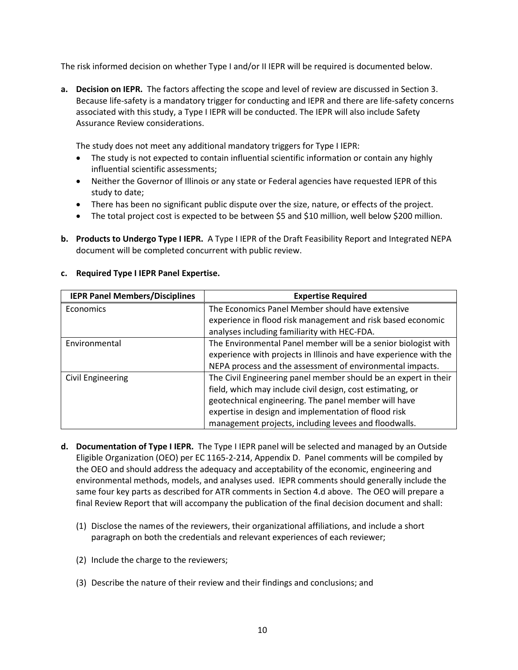The risk informed decision on whether Type I and/or II IEPR will be required is documented below.

**a. Decision on IEPR.** The factors affecting the scope and level of review are discussed in Section 3. Because life-safety is a mandatory trigger for conducting and IEPR and there are life-safety concerns associated with this study, a Type I IEPR will be conducted. The IEPR will also include Safety Assurance Review considerations.

The study does not meet any additional mandatory triggers for Type I IEPR:

- The study is not expected to contain influential scientific information or contain any highly influential scientific assessments;
- Neither the Governor of Illinois or any state or Federal agencies have requested IEPR of this study to date;
- There has been no significant public dispute over the size, nature, or effects of the project.
- The total project cost is expected to be between \$5 and \$10 million, well below \$200 million.
- **b. Products to Undergo Type I IEPR.** A Type I IEPR of the Draft Feasibility Report and Integrated NEPA document will be completed concurrent with public review.

| <b>IEPR Panel Members/Disciplines</b> | <b>Expertise Required</b>                                         |  |
|---------------------------------------|-------------------------------------------------------------------|--|
| Economics                             | The Economics Panel Member should have extensive                  |  |
|                                       | experience in flood risk management and risk based economic       |  |
|                                       | analyses including familiarity with HEC-FDA.                      |  |
| Environmental                         | The Environmental Panel member will be a senior biologist with    |  |
|                                       | experience with projects in Illinois and have experience with the |  |
|                                       | NEPA process and the assessment of environmental impacts.         |  |
| Civil Engineering                     | The Civil Engineering panel member should be an expert in their   |  |
|                                       | field, which may include civil design, cost estimating, or        |  |
|                                       | geotechnical engineering. The panel member will have              |  |
|                                       | expertise in design and implementation of flood risk              |  |
|                                       | management projects, including levees and floodwalls.             |  |

## **c. Required Type I IEPR Panel Expertise.**

- **d. Documentation of Type I IEPR.** The Type I IEPR panel will be selected and managed by an Outside Eligible Organization (OEO) per EC 1165-2-214, Appendix D. Panel comments will be compiled by the OEO and should address the adequacy and acceptability of the economic, engineering and environmental methods, models, and analyses used. IEPR comments should generally include the same four key parts as described for ATR comments in Section 4.d above. The OEO will prepare a final Review Report that will accompany the publication of the final decision document and shall:
	- (1) Disclose the names of the reviewers, their organizational affiliations, and include a short paragraph on both the credentials and relevant experiences of each reviewer;
	- (2) Include the charge to the reviewers;
	- (3) Describe the nature of their review and their findings and conclusions; and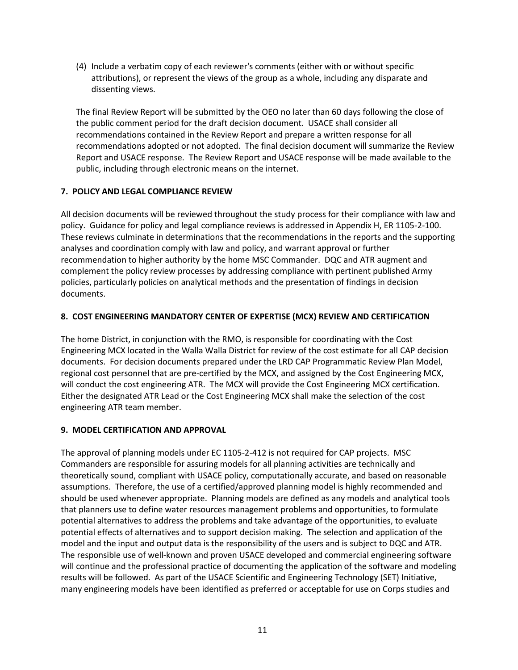(4) Include a verbatim copy of each reviewer's comments (either with or without specific attributions), or represent the views of the group as a whole, including any disparate and dissenting views.

The final Review Report will be submitted by the OEO no later than 60 days following the close of the public comment period for the draft decision document. USACE shall consider all recommendations contained in the Review Report and prepare a written response for all recommendations adopted or not adopted. The final decision document will summarize the Review Report and USACE response. The Review Report and USACE response will be made available to the public, including through electronic means on the internet.

# **7. POLICY AND LEGAL COMPLIANCE REVIEW**

All decision documents will be reviewed throughout the study process for their compliance with law and policy. Guidance for policy and legal compliance reviews is addressed in Appendix H, ER 1105-2-100. These reviews culminate in determinations that the recommendations in the reports and the supporting analyses and coordination comply with law and policy, and warrant approval or further recommendation to higher authority by the home MSC Commander. DQC and ATR augment and complement the policy review processes by addressing compliance with pertinent published Army policies, particularly policies on analytical methods and the presentation of findings in decision documents.

## **8. COST ENGINEERING MANDATORY CENTER OF EXPERTISE (MCX) REVIEW AND CERTIFICATION**

The home District, in conjunction with the RMO, is responsible for coordinating with the Cost Engineering MCX located in the Walla Walla District for review of the cost estimate for all CAP decision documents. For decision documents prepared under the LRD CAP Programmatic Review Plan Model, regional cost personnel that are pre-certified by the MCX, and assigned by the Cost Engineering MCX, will conduct the cost engineering ATR. The MCX will provide the Cost Engineering MCX certification. Either the designated ATR Lead or the Cost Engineering MCX shall make the selection of the cost engineering ATR team member.

# **9. MODEL CERTIFICATION AND APPROVAL**

The approval of planning models under EC 1105-2-412 is not required for CAP projects. MSC Commanders are responsible for assuring models for all planning activities are technically and theoretically sound, compliant with USACE policy, computationally accurate, and based on reasonable assumptions. Therefore, the use of a certified/approved planning model is highly recommended and should be used whenever appropriate. Planning models are defined as any models and analytical tools that planners use to define water resources management problems and opportunities, to formulate potential alternatives to address the problems and take advantage of the opportunities, to evaluate potential effects of alternatives and to support decision making. The selection and application of the model and the input and output data is the responsibility of the users and is subject to DQC and ATR. The responsible use of well-known and proven USACE developed and commercial engineering software will continue and the professional practice of documenting the application of the software and modeling results will be followed. As part of the USACE Scientific and Engineering Technology (SET) Initiative, many engineering models have been identified as preferred or acceptable for use on Corps studies and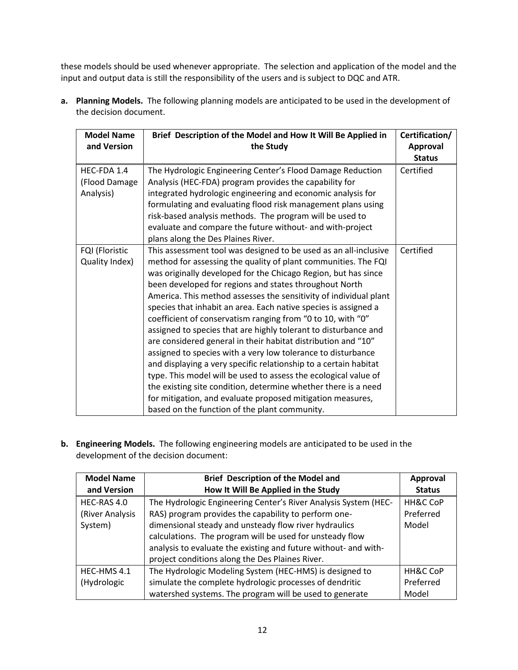these models should be used whenever appropriate. The selection and application of the model and the input and output data is still the responsibility of the users and is subject to DQC and ATR.

**a. Planning Models.** The following planning models are anticipated to be used in the development of the decision document.

| <b>Model Name</b><br>and Version          | Brief Description of the Model and How It Will Be Applied in<br>the Study                                                                                                                                                                                                                                                                                                                                                                                                                                                                                                                                                                                                                                                                                                                                                                                                                                                                                                                         | Certification/<br>Approval |
|-------------------------------------------|---------------------------------------------------------------------------------------------------------------------------------------------------------------------------------------------------------------------------------------------------------------------------------------------------------------------------------------------------------------------------------------------------------------------------------------------------------------------------------------------------------------------------------------------------------------------------------------------------------------------------------------------------------------------------------------------------------------------------------------------------------------------------------------------------------------------------------------------------------------------------------------------------------------------------------------------------------------------------------------------------|----------------------------|
|                                           |                                                                                                                                                                                                                                                                                                                                                                                                                                                                                                                                                                                                                                                                                                                                                                                                                                                                                                                                                                                                   | <b>Status</b>              |
| HEC-FDA 1.4<br>(Flood Damage<br>Analysis) | The Hydrologic Engineering Center's Flood Damage Reduction<br>Analysis (HEC-FDA) program provides the capability for<br>integrated hydrologic engineering and economic analysis for<br>formulating and evaluating flood risk management plans using<br>risk-based analysis methods. The program will be used to<br>evaluate and compare the future without- and with-project<br>plans along the Des Plaines River.                                                                                                                                                                                                                                                                                                                                                                                                                                                                                                                                                                                | Certified                  |
| FQI (Floristic<br>Quality Index)          | This assessment tool was designed to be used as an all-inclusive<br>method for assessing the quality of plant communities. The FQI<br>was originally developed for the Chicago Region, but has since<br>been developed for regions and states throughout North<br>America. This method assesses the sensitivity of individual plant<br>species that inhabit an area. Each native species is assigned a<br>coefficient of conservatism ranging from "0 to 10, with "0"<br>assigned to species that are highly tolerant to disturbance and<br>are considered general in their habitat distribution and "10"<br>assigned to species with a very low tolerance to disturbance<br>and displaying a very specific relationship to a certain habitat<br>type. This model will be used to assess the ecological value of<br>the existing site condition, determine whether there is a need<br>for mitigation, and evaluate proposed mitigation measures,<br>based on the function of the plant community. | Certified                  |

**b. Engineering Models.** The following engineering models are anticipated to be used in the development of the decision document:

| <b>Model Name</b> | <b>Brief Description of the Model and</b>                       | <b>Approval</b> |
|-------------------|-----------------------------------------------------------------|-----------------|
| and Version       | How It Will Be Applied in the Study                             | <b>Status</b>   |
| HEC-RAS 4.0       | The Hydrologic Engineering Center's River Analysis System (HEC- | HH&C CoP        |
| (River Analysis   | RAS) program provides the capability to perform one-            | Preferred       |
| System)           | dimensional steady and unsteady flow river hydraulics           | Model           |
|                   | calculations. The program will be used for unsteady flow        |                 |
|                   | analysis to evaluate the existing and future without- and with- |                 |
|                   | project conditions along the Des Plaines River.                 |                 |
| HEC-HMS 4.1       | The Hydrologic Modeling System (HEC-HMS) is designed to         | HH&C CoP        |
| (Hydrologic       | simulate the complete hydrologic processes of dendritic         | Preferred       |
|                   | watershed systems. The program will be used to generate         | Model           |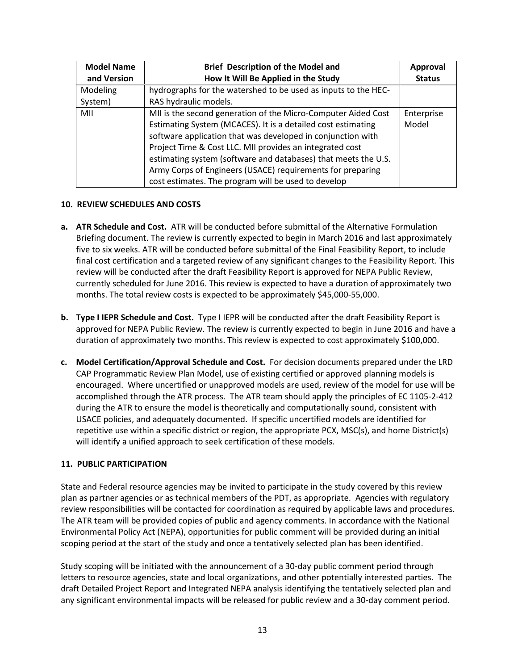| <b>Model Name</b> | <b>Brief Description of the Model and</b>                      | <b>Approval</b> |
|-------------------|----------------------------------------------------------------|-----------------|
| and Version       | How It Will Be Applied in the Study                            | <b>Status</b>   |
| Modeling          | hydrographs for the watershed to be used as inputs to the HEC- |                 |
| System)           | RAS hydraulic models.                                          |                 |
| MII               | MII is the second generation of the Micro-Computer Aided Cost  | Enterprise      |
|                   | Estimating System (MCACES). It is a detailed cost estimating   | Model           |
|                   | software application that was developed in conjunction with    |                 |
|                   | Project Time & Cost LLC. MII provides an integrated cost       |                 |
|                   | estimating system (software and databases) that meets the U.S. |                 |
|                   | Army Corps of Engineers (USACE) requirements for preparing     |                 |
|                   | cost estimates. The program will be used to develop            |                 |

#### **10. REVIEW SCHEDULES AND COSTS**

- **a. ATR Schedule and Cost.** ATR will be conducted before submittal of the Alternative Formulation Briefing document. The review is currently expected to begin in March 2016 and last approximately five to six weeks. ATR will be conducted before submittal of the Final Feasibility Report, to include final cost certification and a targeted review of any significant changes to the Feasibility Report. This review will be conducted after the draft Feasibility Report is approved for NEPA Public Review, currently scheduled for June 2016. This review is expected to have a duration of approximately two months. The total review costs is expected to be approximately \$45,000-55,000.
- **b. Type I IEPR Schedule and Cost.** Type I IEPR will be conducted after the draft Feasibility Report is approved for NEPA Public Review. The review is currently expected to begin in June 2016 and have a duration of approximately two months. This review is expected to cost approximately \$100,000.
- **c. Model Certification/Approval Schedule and Cost.** For decision documents prepared under the LRD CAP Programmatic Review Plan Model, use of existing certified or approved planning models is encouraged. Where uncertified or unapproved models are used, review of the model for use will be accomplished through the ATR process. The ATR team should apply the principles of EC 1105-2-412 during the ATR to ensure the model is theoretically and computationally sound, consistent with USACE policies, and adequately documented. If specific uncertified models are identified for repetitive use within a specific district or region, the appropriate PCX, MSC(s), and home District(s) will identify a unified approach to seek certification of these models.

#### **11. PUBLIC PARTICIPATION**

State and Federal resource agencies may be invited to participate in the study covered by this review plan as partner agencies or as technical members of the PDT, as appropriate. Agencies with regulatory review responsibilities will be contacted for coordination as required by applicable laws and procedures. The ATR team will be provided copies of public and agency comments. In accordance with the National Environmental Policy Act (NEPA), opportunities for public comment will be provided during an initial scoping period at the start of the study and once a tentatively selected plan has been identified.

Study scoping will be initiated with the announcement of a 30-day public comment period through letters to resource agencies, state and local organizations, and other potentially interested parties. The draft Detailed Project Report and Integrated NEPA analysis identifying the tentatively selected plan and any significant environmental impacts will be released for public review and a 30-day comment period.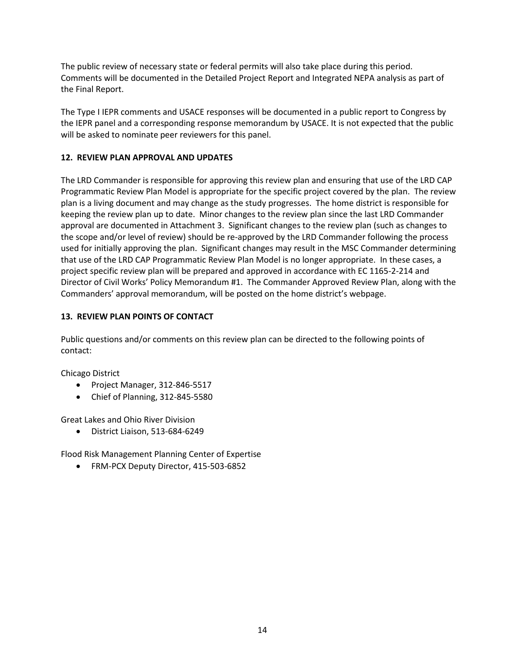The public review of necessary state or federal permits will also take place during this period. Comments will be documented in the Detailed Project Report and Integrated NEPA analysis as part of the Final Report.

The Type I IEPR comments and USACE responses will be documented in a public report to Congress by the IEPR panel and a corresponding response memorandum by USACE. It is not expected that the public will be asked to nominate peer reviewers for this panel.

## **12. REVIEW PLAN APPROVAL AND UPDATES**

The LRD Commander is responsible for approving this review plan and ensuring that use of the LRD CAP Programmatic Review Plan Model is appropriate for the specific project covered by the plan. The review plan is a living document and may change as the study progresses. The home district is responsible for keeping the review plan up to date. Minor changes to the review plan since the last LRD Commander approval are documented in Attachment 3. Significant changes to the review plan (such as changes to the scope and/or level of review) should be re-approved by the LRD Commander following the process used for initially approving the plan. Significant changes may result in the MSC Commander determining that use of the LRD CAP Programmatic Review Plan Model is no longer appropriate. In these cases, a project specific review plan will be prepared and approved in accordance with EC 1165-2-214 and Director of Civil Works' Policy Memorandum #1. The Commander Approved Review Plan, along with the Commanders' approval memorandum, will be posted on the home district's webpage.

## **13. REVIEW PLAN POINTS OF CONTACT**

Public questions and/or comments on this review plan can be directed to the following points of contact:

Chicago District

- Project Manager, 312-846-5517
- Chief of Planning, 312-845-5580

Great Lakes and Ohio River Division

• District Liaison, 513-684-6249

Flood Risk Management Planning Center of Expertise

• FRM-PCX Deputy Director, 415-503-6852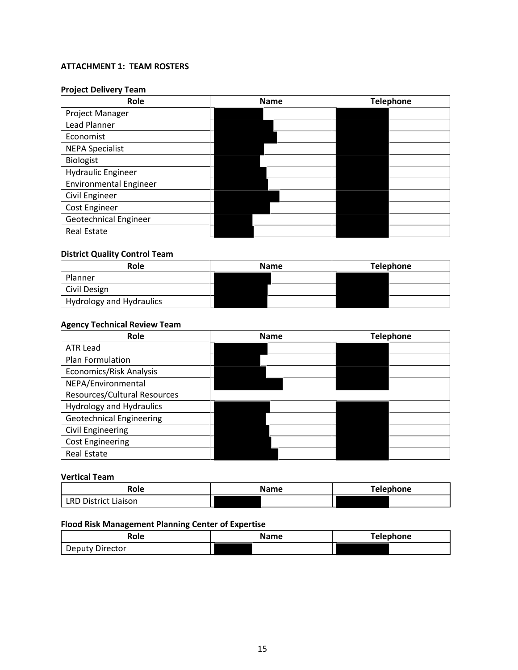# **ATTACHMENT 1: TEAM ROSTERS**

# **Project Delivery Team**

| Role                          | <b>Name</b> | <b>Telephone</b> |  |
|-------------------------------|-------------|------------------|--|
| Project Manager               |             |                  |  |
| Lead Planner                  |             |                  |  |
| Economist                     |             |                  |  |
| <b>NEPA Specialist</b>        |             |                  |  |
| <b>Biologist</b>              |             |                  |  |
| <b>Hydraulic Engineer</b>     |             |                  |  |
| <b>Environmental Engineer</b> |             |                  |  |
| Civil Engineer                |             |                  |  |
| Cost Engineer                 |             |                  |  |
| Geotechnical Engineer         |             |                  |  |
| <b>Real Estate</b>            |             |                  |  |

# **District Quality Control Team**

| Role                     | <b>Name</b> | <b>Telephone</b> |  |
|--------------------------|-------------|------------------|--|
| Planner                  |             |                  |  |
| Civil Design             |             |                  |  |
| Hydrology and Hydraulics |             |                  |  |

# **Agency Technical Review Team**

| Role                            | <b>Name</b> | <b>Telephone</b> |  |
|---------------------------------|-------------|------------------|--|
| <b>ATR Lead</b>                 |             |                  |  |
| Plan Formulation                |             |                  |  |
| Economics/Risk Analysis         |             |                  |  |
| NEPA/Environmental              |             |                  |  |
| Resources/Cultural Resources    |             |                  |  |
| <b>Hydrology and Hydraulics</b> |             |                  |  |
| <b>Geotechnical Engineering</b> |             |                  |  |
| <b>Civil Engineering</b>        |             |                  |  |
| <b>Cost Engineering</b>         |             |                  |  |
| <b>Real Estate</b>              |             |                  |  |

#### **Vertical Team**

| Role                 | <b>Name</b> | Telephone |
|----------------------|-------------|-----------|
| LRD District Liaison |             |           |

# **Flood Risk Management Planning Center of Expertise**

| Role            | <b>Name</b> | <b>Telephone</b> |
|-----------------|-------------|------------------|
| Deputy Director |             |                  |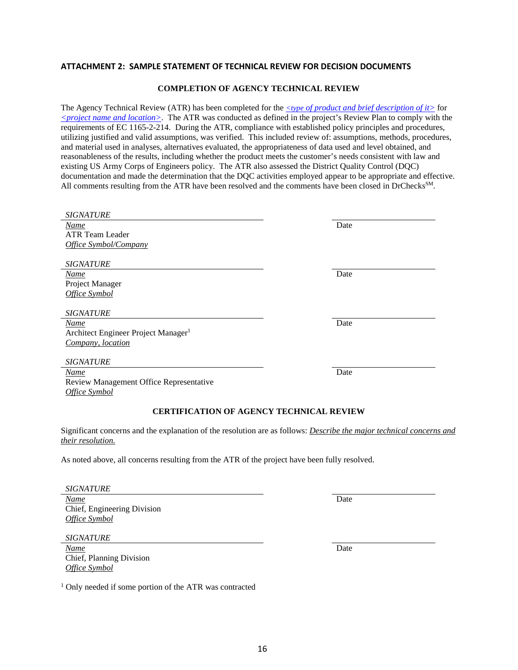#### **ATTACHMENT 2: SAMPLE STATEMENT OF TECHNICAL REVIEW FOR DECISION DOCUMENTS**

#### **COMPLETION OF AGENCY TECHNICAL REVIEW**

The Agency Technical Review (ATR) has been completed for the *<type of product and brief description of it>* for *<project name and location>*. The ATR was conducted as defined in the project's Review Plan to comply with the requirements of EC 1165-2-214. During the ATR, compliance with established policy principles and procedures, utilizing justified and valid assumptions, was verified. This included review of: assumptions, methods, procedures, and material used in analyses, alternatives evaluated, the appropriateness of data used and level obtained, and reasonableness of the results, including whether the product meets the customer's needs consistent with law and existing US Army Corps of Engineers policy. The ATR also assessed the District Quality Control (DQC) documentation and made the determination that the DQC activities employed appear to be appropriate and effective. All comments resulting from the ATR have been resolved and the comments have been closed in DrChecks<sup>SM</sup>.

| <b>SIGNATURE</b>                                                                                                                          |      |
|-------------------------------------------------------------------------------------------------------------------------------------------|------|
| Name                                                                                                                                      | Date |
| <b>ATR Team Leader</b>                                                                                                                    |      |
| Office Symbol/Company                                                                                                                     |      |
| <b>SIGNATURE</b>                                                                                                                          |      |
| Name                                                                                                                                      | Date |
| Project Manager                                                                                                                           |      |
| Office Symbol                                                                                                                             |      |
| <b>SIGNATURE</b>                                                                                                                          |      |
| <b>Name</b>                                                                                                                               | Date |
| Architect Engineer Project Manager <sup>1</sup>                                                                                           |      |
| Company, location                                                                                                                         |      |
| <b>SIGNATURE</b>                                                                                                                          |      |
| Name                                                                                                                                      | Date |
| Review Management Office Representative                                                                                                   |      |
| Office Symbol                                                                                                                             |      |
| <b>CERTIFICATION OF AGENCY TECHNICAL REVIEW</b>                                                                                           |      |
| Significant concerns and the explanation of the resolution are as follows: Describe the major technical concerns and<br>their resolution. |      |
| As noted above, all concerns resulting from the ATR of the project have been fully resolved.                                              |      |
| <b>SIGNATURE</b>                                                                                                                          |      |
| <b>Name</b>                                                                                                                               | Date |
| Chief, Engineering Division                                                                                                               |      |
| Office Symbol                                                                                                                             |      |
|                                                                                                                                           |      |

*SIGNATURE*

*Name* Date Chief, Planning Division *Office Symbol*

<sup>1</sup> Only needed if some portion of the ATR was contracted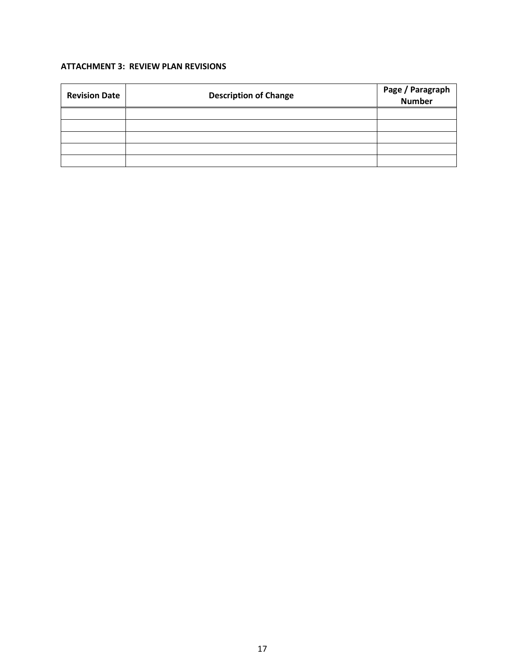# **ATTACHMENT 3: REVIEW PLAN REVISIONS**

| <b>Revision Date</b> | <b>Description of Change</b> | Page / Paragraph<br>Number |
|----------------------|------------------------------|----------------------------|
|                      |                              |                            |
|                      |                              |                            |
|                      |                              |                            |
|                      |                              |                            |
|                      |                              |                            |